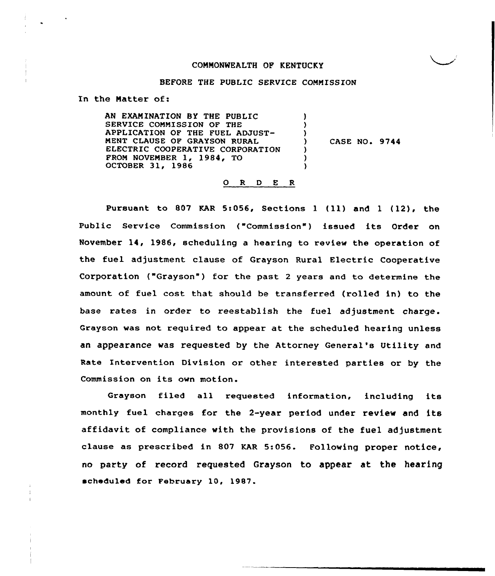# COMMONWEALTH OF KENTUCKY

#### BEFORE THE PUBLIC SERVICE COMMISSION

In the Natter of:

AN EXANINATION BY THE PUBLIC SERVICE CONNISSION OF THE APPLICATION OF THE FUEL ADJUST-NENT CLAUSE OF GRAYSON RURAL ELECTRIC COOPERATIVE CORPORATION PRON NOVEMBER 1, 1984, TO OCTOBER 31, 1986 ) ) ) CASE NO. 9744 ) ) )

#### 0 R <sup>D</sup> E <sup>R</sup>

Pursuant to 807 KAR 5:056, Sections 1 (11) and 1 (12), the Public Service Commission ("Commission" ) issued its Order on November 14, 1986, scheduling a hearing to review the operation of the fuel adjustment clause of Grayson Rural Electric Cooperative Corporation ("Grayson") for the past 2 years and to determine the amount of fuel cost that should be transferred (rolled in) to the base rates in order to reestablish the fuel adjustment charge. Grayson was not required to appear at the scheduled hearing unless an appearance was requested by the Attorney General's Utility and Rate Intervention Division or other interested parties or by the Commission on its own motion.

Grayson filed all requested information, including its monthly fuel charges for the 2-year period under review and its affidavit of compliance with the provisions of the fuel adjustment clause as prescribed in 807 KAR 5:056. Following proper notice, no party of record requested Grayson to appear at the hearing scheduled for February 10, 1987.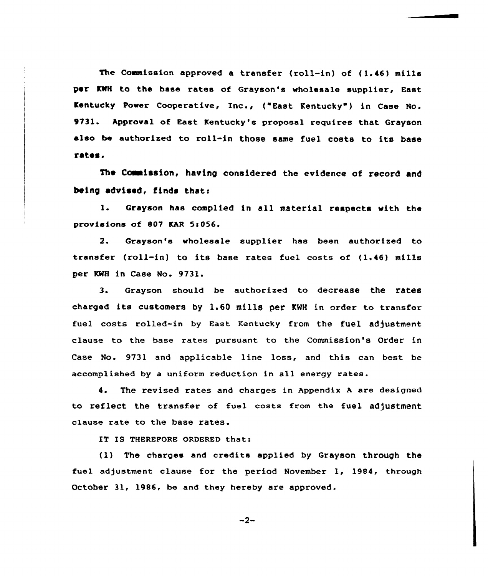The Commission approved a transfer (roll-in) of (1.46) mills per KWH to the base rates of Grayson's wholesale supplier, East Kentucky Power Cooperative, Inc., ("East Kentucky" ) in Case No. 9731. Approval of East Kentucky's proposal requires that Grayson also be authorized to roll-in those same fuel costs to its base rates.

The Commission, having considered the evidence of record and being advised, finds that:

l. Grayson has complied in all material respects with the provisions of 807 KAR 5s056.

2. Grayson's wholesale supplier has been authorized to transfer (roll-in) to its base rates fuel costs of (1.46) mills per KWH in Case No. 9731.

3. Grayson should be authorized to decrease the rates charged its customers by 1.60 mills per KMH in order to transfer fuel costs rolled-in by East Kentucky from the fuel adjustment clause to the base rates pursuant to the Commission's Order in Case No. 9731 and applicable line loss, and this can best be accomplished by <sup>a</sup> uniform reduction in all energy rates.

4. The revised rates and charges in Appendix <sup>A</sup> are designed to reflect the transfer of fuel costs from the fuel adjustment clause rate to the base rates.

IT IS THEREFORE ORDERED that:

(1) The charges and credits applied by Grayson through the fuel adjustment clause for the period November 1, 1984, through October 31, 1986, be and they hereby are approved.

 $-2-$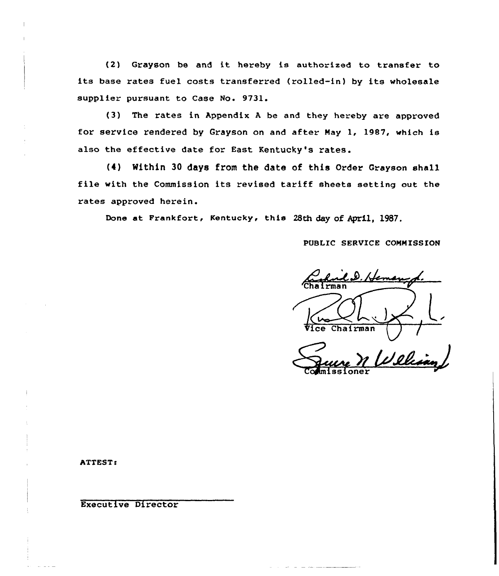(2) Grayson be and it hereby is authorized to transfer to its base rates fuel costs transferred (rolled-in) by its wholesale supplier pursuant to Case No. 9731.

(3) The rates in Appendix <sup>A</sup> be and they hereby are approved for service rendered by Grayson on and after May 1, 1987, which is also the effective date for East Kentucky's rates.

(4) Within 30 days from the date of this Order Grayson shall file with the Commission its revised tariff sheets setting out the rates approved herein.

Done at Frankfort, Kentucky, this 28th day of April, 1987.

PUBLIC SERVICE COMMISSION

fernen Chairman

<u>Ill</u>

Commissioner

ATTEST:

Executive Director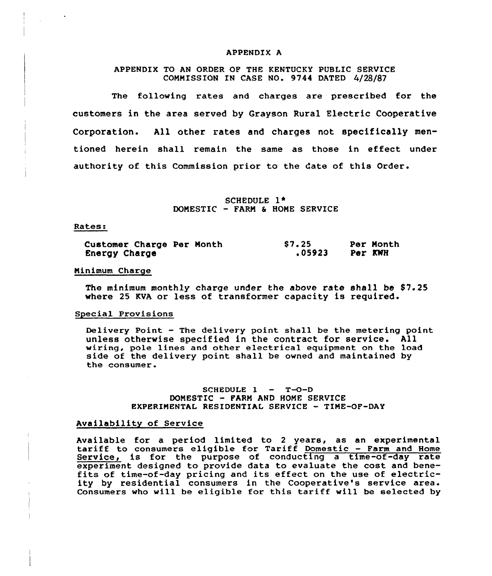#### APPENDIX A

# APPENDIX TO AN ORDER OF THE KENTUCKY PUBLIC SERVICE COMMISSION IN CASE NO. 9744 DATED 4/28/87

The following rates and charges are prescribed for the customers in the area served by Grayson Rural Electric Cooperative Corporation. All other rates and charges not specifically mentioned herein shall remain the same as those in effect under authority of this Commission prior to the date of this Order.

> SCHEDULE 1 + DOMESTIC — FARM 8 HONE SERVICE

#### Rates:

| Customer Charge Per Month |  | \$7.25 |         | Per Month |
|---------------------------|--|--------|---------|-----------|
| Energy Charge             |  | 05923. | Per KWH |           |

#### Minimum Charge

The minimum monthly charge under the above rate shall be \$7.25 where 25 KVA or less of transformer capacity is required.

#### Special Provisions

Delivery Point — The delivery point shall be the metering point unless otherwise specified in the contract for service. All wiring, pole lines and other electrical equipment on the load side of the delivery point shall be owned and maintained by the consumer.

# SCHEDULE  $1 - T$ -O-D DONESTIC — FARM AND HOME SERVICE EXPERIMENTAL RESIDENTIAL SERVICE - TINE-OF-DAY

## Availability of Service

Available for <sup>a</sup> period limited to <sup>2</sup> years, as an experimental tariff to consumers eligible for Tariff Domestic — Farm and Home Service, is for the purpose of conducting a time-of-day rate experiment designed to provide data to evaluate the cost and bene- fits of time-of-day pricing and its effect on the use of electricity by residential consumers in the Cooperative's service area. Consumers who will be eligible for this tariff will be selected by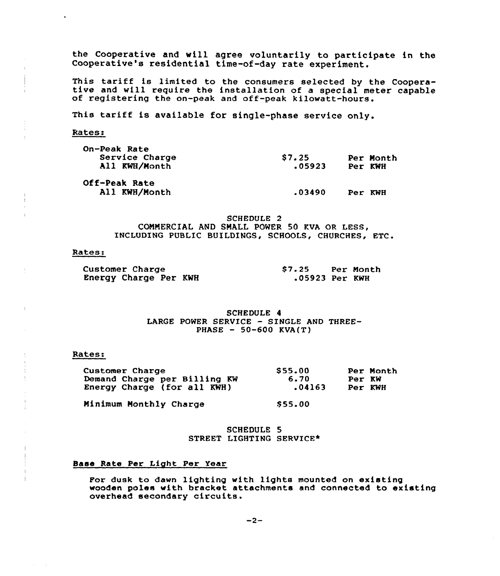the Cooperative and will agree voluntarily to participate in the Cooperative's residential time-of-day rate experiment.

This tariff is limited to the consumers selected by the Coopera-<br>tive and will require the installation of a special meter capable<br>of registering the on-peak and off-peak kilowatt-hours.

This tariff is available for single-phase service only.

katess

| On-Peak Rate<br>Service Charge<br>All KWH/Month | \$7.25<br>.05923 | Per Month<br>Per KWH |
|-------------------------------------------------|------------------|----------------------|
| Off-Peak Rate<br>All KWH/Month                  | .03490           | Per KWH              |

SCHEDULE 2 COMMERCIAL AND SMALL POWER 50 KVA OR LESS, INCLUDING PUBLIC BUILDINGS, SCHOOLS, CHURCHES, ETC.

#### Rates:

| <b>Customer Charge</b> | \$7.25         | Per Month |
|------------------------|----------------|-----------|
| Energy Charge Per KWH  | .05923 Per KWH |           |

SCHEDULE 4 LARGE POWER SERVICE — SINGLE AND THREE-PHASE  $-50-600$  KVA(T)

#### Rates.

֒.

| Customer Charge              | \$55.00 | Per Month |
|------------------------------|---------|-----------|
| Demand Charge per Billing KW | 6.70    | Per KW    |
| Energy Charge (for all KWH)  | .04163  | Per KWH   |

Minimum Monthly Charge

SCHEDULE 5 STREET LIGHTING SERVICE\*

\$ 55.00

#### Base Rate Per Light Per Year

For dusk to dawn lighting with lights mounted on existing wooden poles with bracket attachments and connected to existing overhead secondary circuits.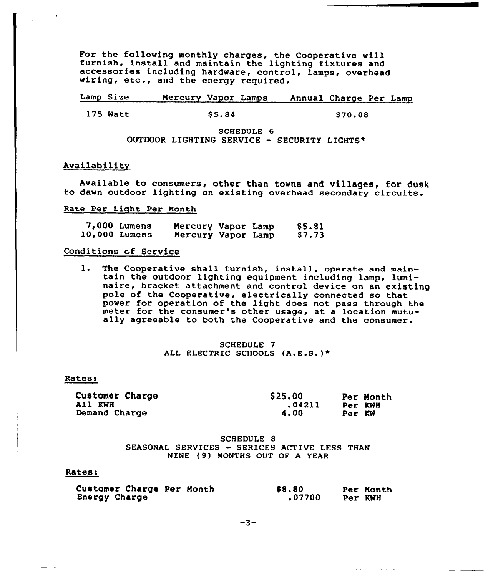For the following monthly charges, the Cooperative will furnish, install and maintain the lighting fixtures and accessories including hardware, control, lamps, overhead wiring, etc., and the energy required.

Lamp Size 175 Watt \$5.84 \$70.08 Mercury Vapor Lamps Annual Charge Per Lamp

> SCHEDULE 6 OUTDOOR LIGHTING SERVICE — SECURITY LIGHTS\*

# Availability

Available to consumers, other than towns and villages, for dusk to dawn outdoor lighting on existing overhead secondary circuits.

Rate Per Light Per Month

| 7,000 Lumens         | Mercury Vapor Lamp |  | \$5.81 |
|----------------------|--------------------|--|--------|
| <b>10,000 Lumens</b> | Mercury Vapor Lamp |  | \$7.73 |

# Conditions of Service

l. The Cooperative shall furnish, install, operate and main- tain the outdoor lighting equipment including lamp, lumi- naire, bracket attachment and control device on an existing pole of the Cooperative, electrically connected so that power for operation of the light does not pass through the meter for the consumer's other usage, at a location mutually agreeable to both the Cooperative and the consumer.

> SCHEDULE 7 ALL ELECTRIC SCHOOLS (A.E.S.)\*

#### Rates:

Customer Charge All KWH Demand Charge

\$ 25.00 Per Month<br>04211 Per KWH 4.00 Per KW

# SCHEDULE 8 SEASONAL SERVICES - SERICES ACTIVE LESS THAN NINE (9) MONTHS OUT OF <sup>A</sup> YEAR

#### Rates:

| Customer Charge Per Month | \$8.80 | Per Month |
|---------------------------|--------|-----------|
| Energy Charge             | .07700 | Per KWH   |